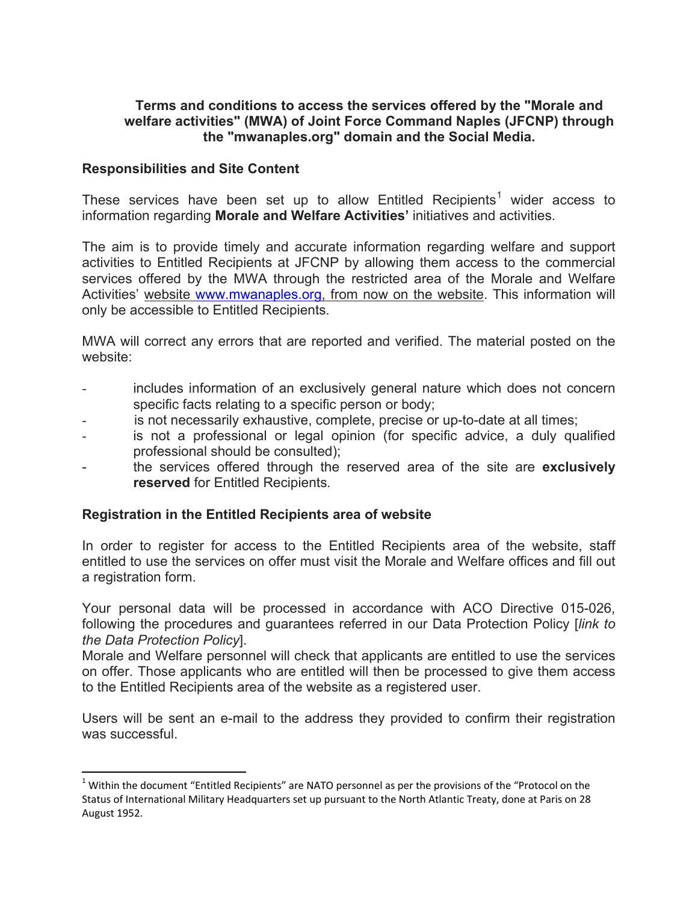# **Terms and conditions to access the services offered by the "Morale and welfare activities" (MWA) of Joint Force Command Naples (JFCNP) through the "mwanaples.org" domain and the Social Media.**

### **Responsibilities and Site Content**

These services have been set up to allow Entitled Recipients<sup>[1](#page-0-0)</sup> wider access to information regarding **Morale and Welfare Activities'** initiatives and activities.

The aim is to provide timely and accurate information regarding welfare and support activities to Entitled Recipients at JFCNP by allowing them access to the commercial services offered by the MWA through the restricted area of the Morale and Welfare Activities' website [www.mwanaples.org,](http://www.mwanaples.org/) from now on the website. This information will only be accessible to Entitled Recipients*.*

MWA will correct any errors that are reported and verified. The material posted on the website:

- includes information of an exclusively general nature which does not concern specific facts relating to a specific person or body;
- is not necessarily exhaustive, complete, precise or up-to-date at all times;
- is not a professional or legal opinion (for specific advice, a duly qualified professional should be consulted);
- the services offered through the reserved area of the site are **exclusively reserved** for Entitled Recipients*.*

# **Registration in the Entitled Recipients area of website**

In order to register for access to the Entitled Recipients area of the website, staff entitled to use the services on offer must visit the Morale and Welfare offices and fill out a registration form.

Your personal data will be processed in accordance with ACO Directive 015-026, following the procedures and guarantees referred in our Data Protection Policy [*link to the Data Protection Policy*].

Morale and Welfare personnel will check that applicants are entitled to use the services on offer. Those applicants who are entitled will then be processed to give them access to the Entitled Recipients area of the website as a registered user.

Users will be sent an e-mail to the address they provided to confirm their registration was successful.

<span id="page-0-0"></span> $1$  Within the document "Entitled Recipients" are NATO personnel as per the provisions of the "Protocol on the Status of International Military Headquarters set up pursuant to the North Atlantic Treaty, done at Paris on 28 August 1952.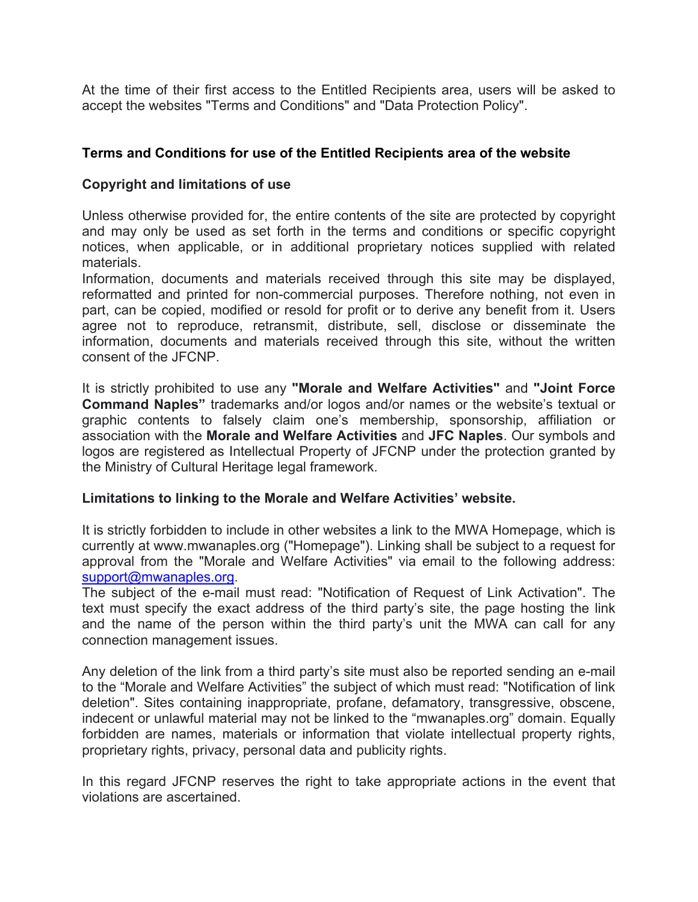At the time of their first access to the Entitled Recipients area, users will be asked to accept the websites "Terms and Conditions" and "Data Protection Policy".

# **Terms and Conditions for use of the Entitled Recipients area of the website**

# **Copyright and limitations of use**

Unless otherwise provided for, the entire contents of the site are protected by copyright and may only be used as set forth in the terms and conditions or specific copyright notices, when applicable, or in additional proprietary notices supplied with related materials.

Information, documents and materials received through this site may be displayed, reformatted and printed for non-commercial purposes. Therefore nothing, not even in part, can be copied, modified or resold for profit or to derive any benefit from it. Users agree not to reproduce, retransmit, distribute, sell, disclose or disseminate the information, documents and materials received through this site, without the written consent of the JFCNP.

It is strictly prohibited to use any **"Morale and Welfare Activities"** and **"Joint Force Command Naples"** trademarks and/or logos and/or names or the website's textual or graphic contents to falsely claim one's membership, sponsorship, affiliation or association with the **Morale and Welfare Activities** and **JFC Naples**. Our symbols and logos are registered as Intellectual Property of JFCNP under the protection granted by the Ministry of Cultural Heritage legal framework.

# **Limitations to linking to the Morale and Welfare Activities' website.**

It is strictly forbidden to include in other websites a link to the MWA Homepage, which is currently at www.mwanaples.org ("Homepage"). Linking shall be subject to a request for approval from the "Morale and Welfare Activities" via email to the following address: [support@mwanaples.org.](mailto:support@mwanaples.org)

The subject of the e-mail must read: "Notification of Request of Link Activation". The text must specify the exact address of the third party's site, the page hosting the link and the name of the person within the third party's unit the MWA can call for any connection management issues.

Any deletion of the link from a third party's site must also be reported sending an e-mail to the "Morale and Welfare Activities" the subject of which must read: "Notification of link deletion". Sites containing inappropriate, profane, defamatory, transgressive, obscene, indecent or unlawful material may not be linked to the "mwanaples.org" domain. Equally forbidden are names, materials or information that violate intellectual property rights, proprietary rights, privacy, personal data and publicity rights.

In this regard JFCNP reserves the right to take appropriate actions in the event that violations are ascertained.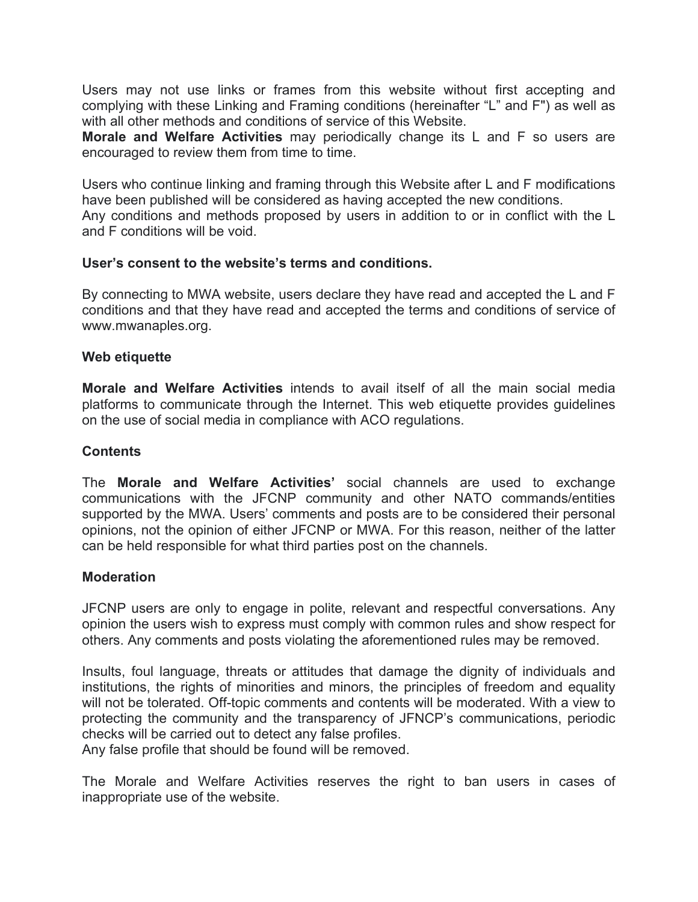Users may not use links or frames from this website without first accepting and complying with these Linking and Framing conditions (hereinafter "L" and F") as well as with all other methods and conditions of service of this Website.

**Morale and Welfare Activities** may periodically change its L and F so users are encouraged to review them from time to time.

Users who continue linking and framing through this Website after L and F modifications have been published will be considered as having accepted the new conditions. Any conditions and methods proposed by users in addition to or in conflict with the L and F conditions will be void.

### **User's consent to the website's terms and conditions.**

By connecting to MWA website, users declare they have read and accepted the L and F conditions and that they have read and accepted the terms and conditions of service of www.mwanaples.org.

### **Web etiquette**

**Morale and Welfare Activities** intends to avail itself of all the main social media platforms to communicate through the Internet. This web etiquette provides guidelines on the use of social media in compliance with ACO regulations.

### **Contents**

The **Morale and Welfare Activities'** social channels are used to exchange communications with the JFCNP community and other NATO commands/entities supported by the MWA. Users' comments and posts are to be considered their personal opinions, not the opinion of either JFCNP or MWA. For this reason, neither of the latter can be held responsible for what third parties post on the channels.

#### **Moderation**

JFCNP users are only to engage in polite, relevant and respectful conversations. Any opinion the users wish to express must comply with common rules and show respect for others. Any comments and posts violating the aforementioned rules may be removed.

Insults, foul language, threats or attitudes that damage the dignity of individuals and institutions, the rights of minorities and minors, the principles of freedom and equality will not be tolerated. Off-topic comments and contents will be moderated. With a view to protecting the community and the transparency of JFNCP's communications, periodic checks will be carried out to detect any false profiles.

Any false profile that should be found will be removed.

The Morale and Welfare Activities reserves the right to ban users in cases of inappropriate use of the website.